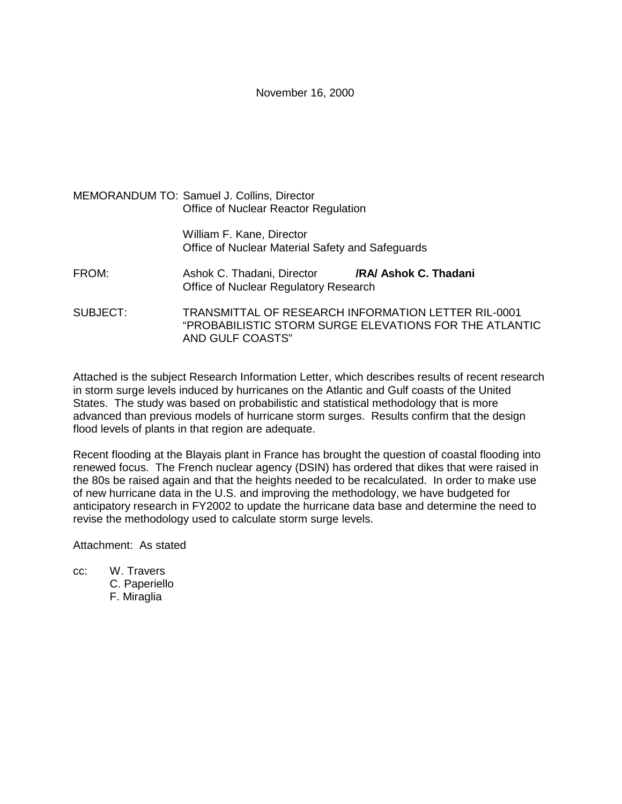# November 16, 2000

|                 | <b>MEMORANDUM TO: Samuel J. Collins, Director</b><br>Office of Nuclear Reactor Regulation |                                                        |  |  |  |  |  |  |
|-----------------|-------------------------------------------------------------------------------------------|--------------------------------------------------------|--|--|--|--|--|--|
|                 | William F. Kane, Director<br>Office of Nuclear Material Safety and Safeguards             |                                                        |  |  |  |  |  |  |
| FROM:           | Ashok C. Thadani, Director<br>Office of Nuclear Regulatory Research                       | /RA/ Ashok C. Thadani                                  |  |  |  |  |  |  |
| <b>SUBJECT:</b> | TRANSMITTAL OF RESEARCH INFORMATION LETTER RIL-0001<br>AND GULF COASTS"                   | "PROBABILISTIC STORM SURGE ELEVATIONS FOR THE ATLANTIC |  |  |  |  |  |  |

Attached is the subject Research Information Letter, which describes results of recent research in storm surge levels induced by hurricanes on the Atlantic and Gulf coasts of the United States. The study was based on probabilistic and statistical methodology that is more advanced than previous models of hurricane storm surges. Results confirm that the design flood levels of plants in that region are adequate.

Recent flooding at the Blayais plant in France has brought the question of coastal flooding into renewed focus. The French nuclear agency (DSIN) has ordered that dikes that were raised in the 80s be raised again and that the heights needed to be recalculated. In order to make use of new hurricane data in the U.S. and improving the methodology, we have budgeted for anticipatory research in FY2002 to update the hurricane data base and determine the need to revise the methodology used to calculate storm surge levels.

Attachment: As stated

cc: W. Travers C. Paperiello F. Miraglia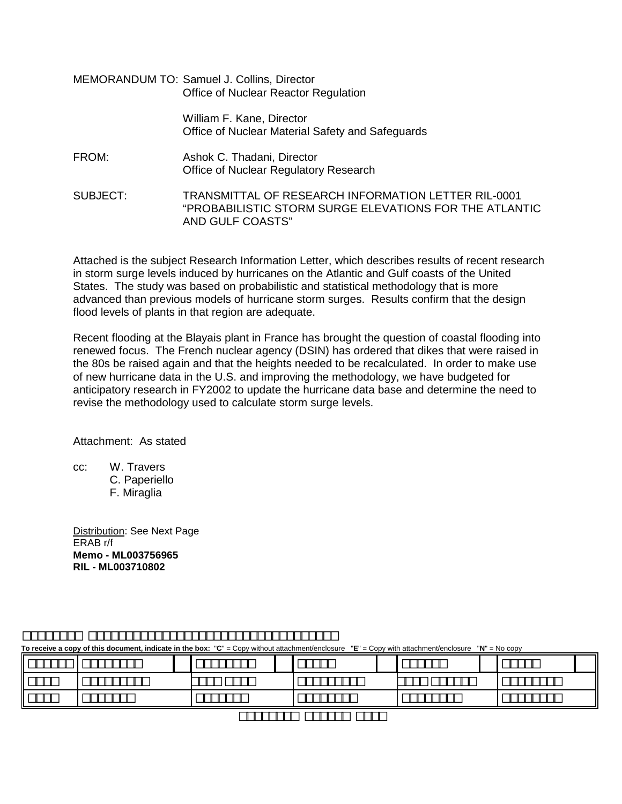|          | MEMORANDUM TO: Samuel J. Collins, Director<br>Office of Nuclear Reactor Regulation                                                |  |  |  |  |  |  |
|----------|-----------------------------------------------------------------------------------------------------------------------------------|--|--|--|--|--|--|
|          | William F. Kane, Director<br>Office of Nuclear Material Safety and Safeguards                                                     |  |  |  |  |  |  |
| FROM:    | Ashok C. Thadani, Director<br>Office of Nuclear Regulatory Research                                                               |  |  |  |  |  |  |
| SUBJECT: | TRANSMITTAL OF RESEARCH INFORMATION LETTER RIL-0001<br>"PROBABILISTIC STORM SURGE ELEVATIONS FOR THE ATLANTIC<br>AND GULF COASTS" |  |  |  |  |  |  |

Attached is the subject Research Information Letter, which describes results of recent research in storm surge levels induced by hurricanes on the Atlantic and Gulf coasts of the United States. The study was based on probabilistic and statistical methodology that is more advanced than previous models of hurricane storm surges. Results confirm that the design flood levels of plants in that region are adequate.

Recent flooding at the Blayais plant in France has brought the question of coastal flooding into renewed focus. The French nuclear agency (DSIN) has ordered that dikes that were raised in the 80s be raised again and that the heights needed to be recalculated. In order to make use of new hurricane data in the U.S. and improving the methodology, we have budgeted for anticipatory research in FY2002 to update the hurricane data base and determine the need to revise the methodology used to calculate storm surge levels.

Attachment: As stated

cc: W. Travers

C. Paperiello F. Miraglia

Distribution: See Next Page ERAB r/f **Memo - ML003756965 RIL - ML003710802**

**To receive a copy of this document, indicate in the box:** "**C**" = Copy without attachment/enclosure "**E**" = Copy with attachment/enclosure "**N**" = No copy

|  |  | <u> - Lander and Lander and American and American and American and American and American and American and American</u> |  |  |  |
|--|--|------------------------------------------------------------------------------------------------------------------------|--|--|--|
|  |  |                                                                                                                        |  |  |  |
|  |  |                                                                                                                        |  |  |  |
|  |  |                                                                                                                        |  |  |  |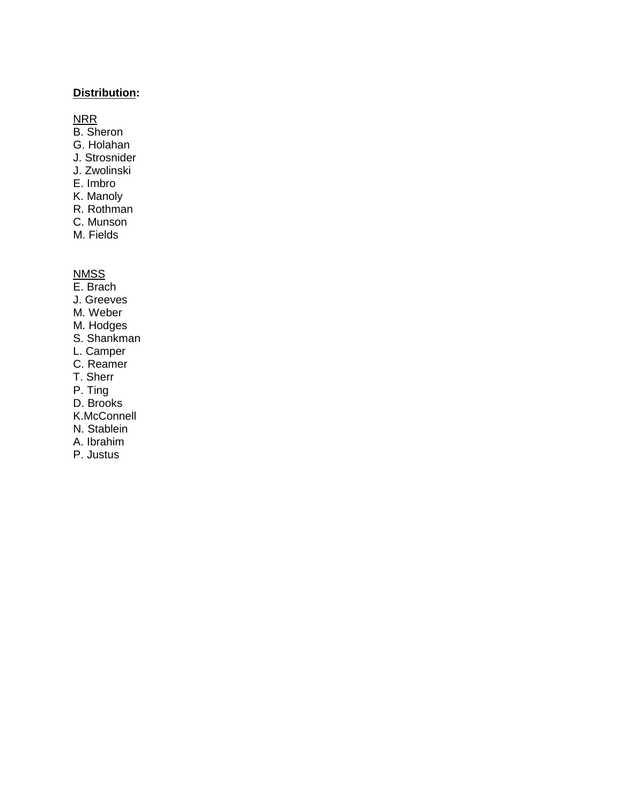# **Distribution:**

### NRR

- B. Sheron
- G. Holahan
- J. Strosnider
- J. Zwolinski
- E. Imbro
- K. Manoly
- R. Rothman
- C. Munson
- M. Fields

# **NMSS**

- E. Brach
- J. Greeves
- M. Weber
- M. Hodges
- S. Shankman
- L. Camper
- C. Reamer
- T. Sherr
- P. Ting
- D. Brooks
- K.McConnell
- N. Stablein
- A. Ibrahim
- P. Justus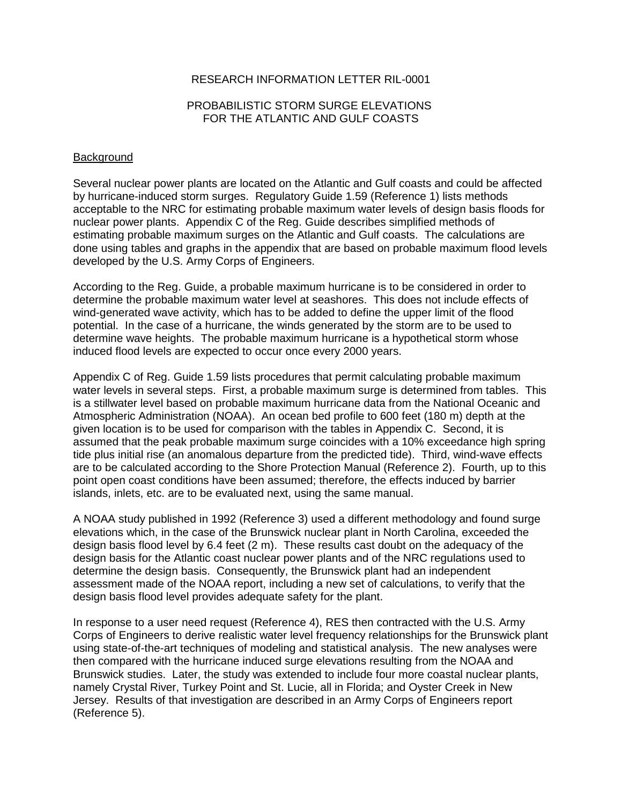## RESEARCH INFORMATION LETTER RIL-0001

# PROBABILISTIC STORM SURGE ELEVATIONS FOR THE ATLANTIC AND GULF COASTS

#### **Background**

Several nuclear power plants are located on the Atlantic and Gulf coasts and could be affected by hurricane-induced storm surges. Regulatory Guide 1.59 (Reference 1) lists methods acceptable to the NRC for estimating probable maximum water levels of design basis floods for nuclear power plants. Appendix C of the Reg. Guide describes simplified methods of estimating probable maximum surges on the Atlantic and Gulf coasts. The calculations are done using tables and graphs in the appendix that are based on probable maximum flood levels developed by the U.S. Army Corps of Engineers.

According to the Reg. Guide, a probable maximum hurricane is to be considered in order to determine the probable maximum water level at seashores. This does not include effects of wind-generated wave activity, which has to be added to define the upper limit of the flood potential. In the case of a hurricane, the winds generated by the storm are to be used to determine wave heights. The probable maximum hurricane is a hypothetical storm whose induced flood levels are expected to occur once every 2000 years.

Appendix C of Reg. Guide 1.59 lists procedures that permit calculating probable maximum water levels in several steps. First, a probable maximum surge is determined from tables. This is a stillwater level based on probable maximum hurricane data from the National Oceanic and Atmospheric Administration (NOAA). An ocean bed profile to 600 feet (180 m) depth at the given location is to be used for comparison with the tables in Appendix C. Second, it is assumed that the peak probable maximum surge coincides with a 10% exceedance high spring tide plus initial rise (an anomalous departure from the predicted tide). Third, wind-wave effects are to be calculated according to the Shore Protection Manual (Reference 2). Fourth, up to this point open coast conditions have been assumed; therefore, the effects induced by barrier islands, inlets, etc. are to be evaluated next, using the same manual.

A NOAA study published in 1992 (Reference 3) used a different methodology and found surge elevations which, in the case of the Brunswick nuclear plant in North Carolina, exceeded the design basis flood level by 6.4 feet (2 m). These results cast doubt on the adequacy of the design basis for the Atlantic coast nuclear power plants and of the NRC regulations used to determine the design basis. Consequently, the Brunswick plant had an independent assessment made of the NOAA report, including a new set of calculations, to verify that the design basis flood level provides adequate safety for the plant.

In response to a user need request (Reference 4), RES then contracted with the U.S. Army Corps of Engineers to derive realistic water level frequency relationships for the Brunswick plant using state-of-the-art techniques of modeling and statistical analysis. The new analyses were then compared with the hurricane induced surge elevations resulting from the NOAA and Brunswick studies. Later, the study was extended to include four more coastal nuclear plants, namely Crystal River, Turkey Point and St. Lucie, all in Florida; and Oyster Creek in New Jersey. Results of that investigation are described in an Army Corps of Engineers report (Reference 5).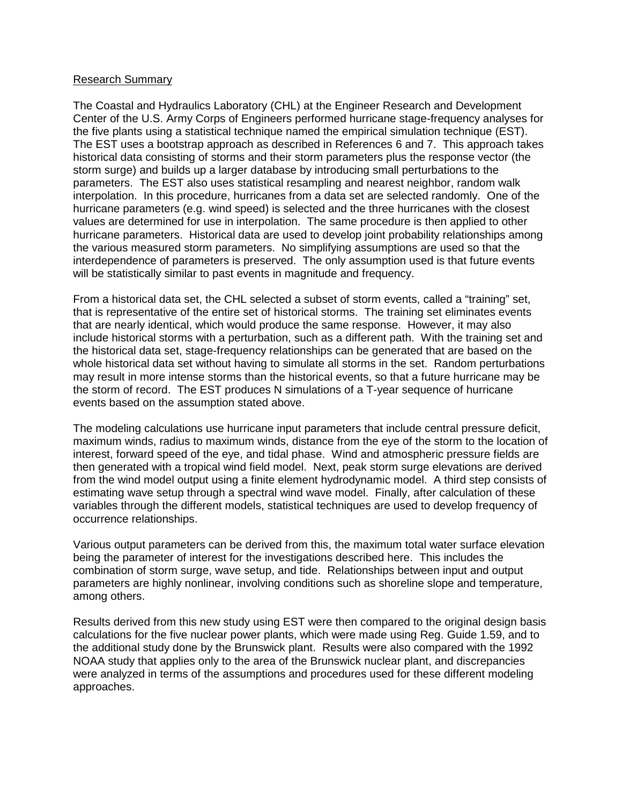# Research Summary

The Coastal and Hydraulics Laboratory (CHL) at the Engineer Research and Development Center of the U.S. Army Corps of Engineers performed hurricane stage-frequency analyses for the five plants using a statistical technique named the empirical simulation technique (EST). The EST uses a bootstrap approach as described in References 6 and 7. This approach takes historical data consisting of storms and their storm parameters plus the response vector (the storm surge) and builds up a larger database by introducing small perturbations to the parameters. The EST also uses statistical resampling and nearest neighbor, random walk interpolation. In this procedure, hurricanes from a data set are selected randomly. One of the hurricane parameters (e.g. wind speed) is selected and the three hurricanes with the closest values are determined for use in interpolation. The same procedure is then applied to other hurricane parameters. Historical data are used to develop joint probability relationships among the various measured storm parameters. No simplifying assumptions are used so that the interdependence of parameters is preserved. The only assumption used is that future events will be statistically similar to past events in magnitude and frequency.

From a historical data set, the CHL selected a subset of storm events, called a "training" set, that is representative of the entire set of historical storms. The training set eliminates events that are nearly identical, which would produce the same response. However, it may also include historical storms with a perturbation, such as a different path. With the training set and the historical data set, stage-frequency relationships can be generated that are based on the whole historical data set without having to simulate all storms in the set. Random perturbations may result in more intense storms than the historical events, so that a future hurricane may be the storm of record. The EST produces N simulations of a T-year sequence of hurricane events based on the assumption stated above.

The modeling calculations use hurricane input parameters that include central pressure deficit, maximum winds, radius to maximum winds, distance from the eye of the storm to the location of interest, forward speed of the eye, and tidal phase. Wind and atmospheric pressure fields are then generated with a tropical wind field model. Next, peak storm surge elevations are derived from the wind model output using a finite element hydrodynamic model. A third step consists of estimating wave setup through a spectral wind wave model. Finally, after calculation of these variables through the different models, statistical techniques are used to develop frequency of occurrence relationships.

Various output parameters can be derived from this, the maximum total water surface elevation being the parameter of interest for the investigations described here. This includes the combination of storm surge, wave setup, and tide. Relationships between input and output parameters are highly nonlinear, involving conditions such as shoreline slope and temperature, among others.

Results derived from this new study using EST were then compared to the original design basis calculations for the five nuclear power plants, which were made using Reg. Guide 1.59, and to the additional study done by the Brunswick plant. Results were also compared with the 1992 NOAA study that applies only to the area of the Brunswick nuclear plant, and discrepancies were analyzed in terms of the assumptions and procedures used for these different modeling approaches.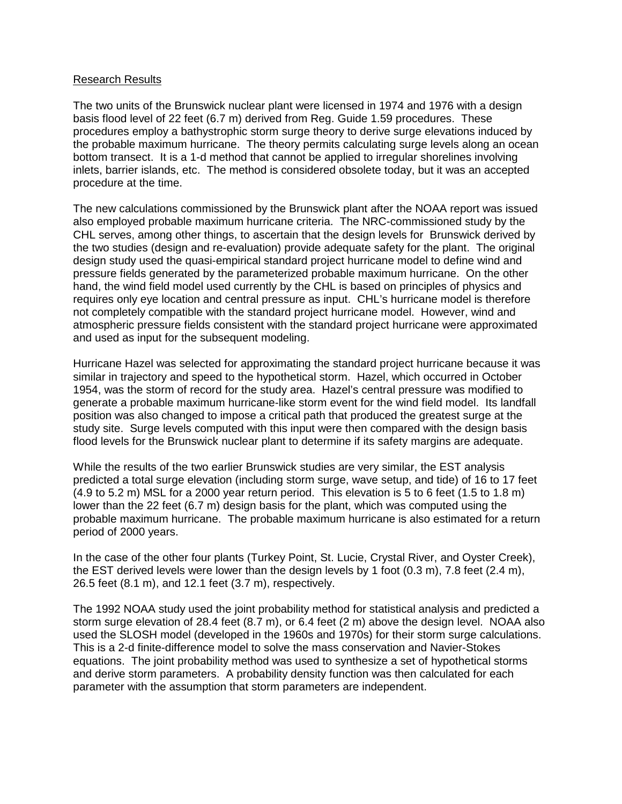### Research Results

The two units of the Brunswick nuclear plant were licensed in 1974 and 1976 with a design basis flood level of 22 feet (6.7 m) derived from Reg. Guide 1.59 procedures. These procedures employ a bathystrophic storm surge theory to derive surge elevations induced by the probable maximum hurricane. The theory permits calculating surge levels along an ocean bottom transect. It is a 1-d method that cannot be applied to irregular shorelines involving inlets, barrier islands, etc. The method is considered obsolete today, but it was an accepted procedure at the time.

The new calculations commissioned by the Brunswick plant after the NOAA report was issued also employed probable maximum hurricane criteria. The NRC-commissioned study by the CHL serves, among other things, to ascertain that the design levels for Brunswick derived by the two studies (design and re-evaluation) provide adequate safety for the plant. The original design study used the quasi-empirical standard project hurricane model to define wind and pressure fields generated by the parameterized probable maximum hurricane. On the other hand, the wind field model used currently by the CHL is based on principles of physics and requires only eye location and central pressure as input. CHL's hurricane model is therefore not completely compatible with the standard project hurricane model. However, wind and atmospheric pressure fields consistent with the standard project hurricane were approximated and used as input for the subsequent modeling.

Hurricane Hazel was selected for approximating the standard project hurricane because it was similar in trajectory and speed to the hypothetical storm. Hazel, which occurred in October 1954, was the storm of record for the study area. Hazel's central pressure was modified to generate a probable maximum hurricane-like storm event for the wind field model. Its landfall position was also changed to impose a critical path that produced the greatest surge at the study site. Surge levels computed with this input were then compared with the design basis flood levels for the Brunswick nuclear plant to determine if its safety margins are adequate.

While the results of the two earlier Brunswick studies are very similar, the EST analysis predicted a total surge elevation (including storm surge, wave setup, and tide) of 16 to 17 feet (4.9 to 5.2 m) MSL for a 2000 year return period. This elevation is 5 to 6 feet (1.5 to 1.8 m) lower than the 22 feet (6.7 m) design basis for the plant, which was computed using the probable maximum hurricane. The probable maximum hurricane is also estimated for a return period of 2000 years.

In the case of the other four plants (Turkey Point, St. Lucie, Crystal River, and Oyster Creek), the EST derived levels were lower than the design levels by 1 foot (0.3 m), 7.8 feet (2.4 m), 26.5 feet (8.1 m), and 12.1 feet (3.7 m), respectively.

The 1992 NOAA study used the joint probability method for statistical analysis and predicted a storm surge elevation of 28.4 feet (8.7 m), or 6.4 feet (2 m) above the design level. NOAA also used the SLOSH model (developed in the 1960s and 1970s) for their storm surge calculations. This is a 2-d finite-difference model to solve the mass conservation and Navier-Stokes equations. The joint probability method was used to synthesize a set of hypothetical storms and derive storm parameters. A probability density function was then calculated for each parameter with the assumption that storm parameters are independent.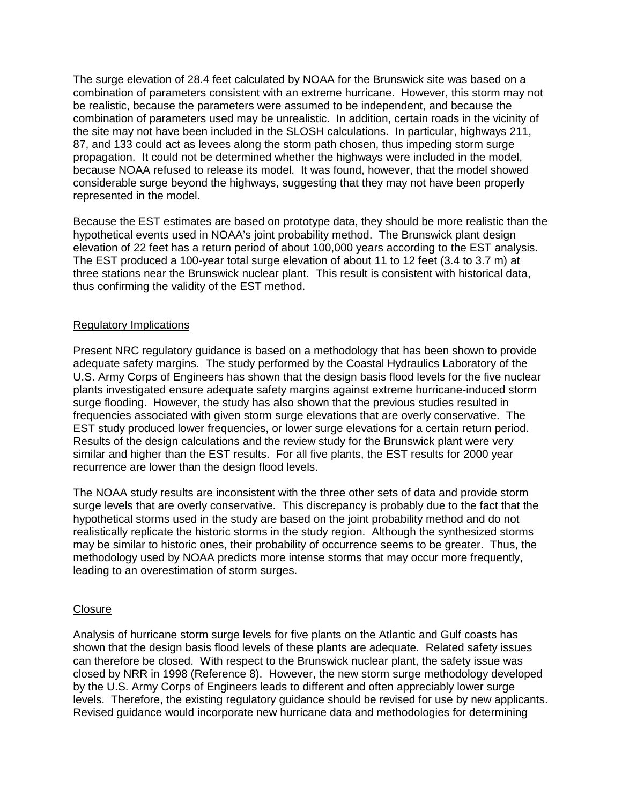The surge elevation of 28.4 feet calculated by NOAA for the Brunswick site was based on a combination of parameters consistent with an extreme hurricane. However, this storm may not be realistic, because the parameters were assumed to be independent, and because the combination of parameters used may be unrealistic. In addition, certain roads in the vicinity of the site may not have been included in the SLOSH calculations. In particular, highways 211, 87, and 133 could act as levees along the storm path chosen, thus impeding storm surge propagation. It could not be determined whether the highways were included in the model, because NOAA refused to release its model. It was found, however, that the model showed considerable surge beyond the highways, suggesting that they may not have been properly represented in the model.

Because the EST estimates are based on prototype data, they should be more realistic than the hypothetical events used in NOAA's joint probability method. The Brunswick plant design elevation of 22 feet has a return period of about 100,000 years according to the EST analysis. The EST produced a 100-year total surge elevation of about 11 to 12 feet (3.4 to 3.7 m) at three stations near the Brunswick nuclear plant. This result is consistent with historical data, thus confirming the validity of the EST method.

# Regulatory Implications

Present NRC regulatory guidance is based on a methodology that has been shown to provide adequate safety margins. The study performed by the Coastal Hydraulics Laboratory of the U.S. Army Corps of Engineers has shown that the design basis flood levels for the five nuclear plants investigated ensure adequate safety margins against extreme hurricane-induced storm surge flooding. However, the study has also shown that the previous studies resulted in frequencies associated with given storm surge elevations that are overly conservative. The EST study produced lower frequencies, or lower surge elevations for a certain return period. Results of the design calculations and the review study for the Brunswick plant were very similar and higher than the EST results. For all five plants, the EST results for 2000 year recurrence are lower than the design flood levels.

The NOAA study results are inconsistent with the three other sets of data and provide storm surge levels that are overly conservative. This discrepancy is probably due to the fact that the hypothetical storms used in the study are based on the joint probability method and do not realistically replicate the historic storms in the study region. Although the synthesized storms may be similar to historic ones, their probability of occurrence seems to be greater. Thus, the methodology used by NOAA predicts more intense storms that may occur more frequently, leading to an overestimation of storm surges.

# **Closure**

Analysis of hurricane storm surge levels for five plants on the Atlantic and Gulf coasts has shown that the design basis flood levels of these plants are adequate. Related safety issues can therefore be closed. With respect to the Brunswick nuclear plant, the safety issue was closed by NRR in 1998 (Reference 8). However, the new storm surge methodology developed by the U.S. Army Corps of Engineers leads to different and often appreciably lower surge levels. Therefore, the existing regulatory guidance should be revised for use by new applicants. Revised guidance would incorporate new hurricane data and methodologies for determining